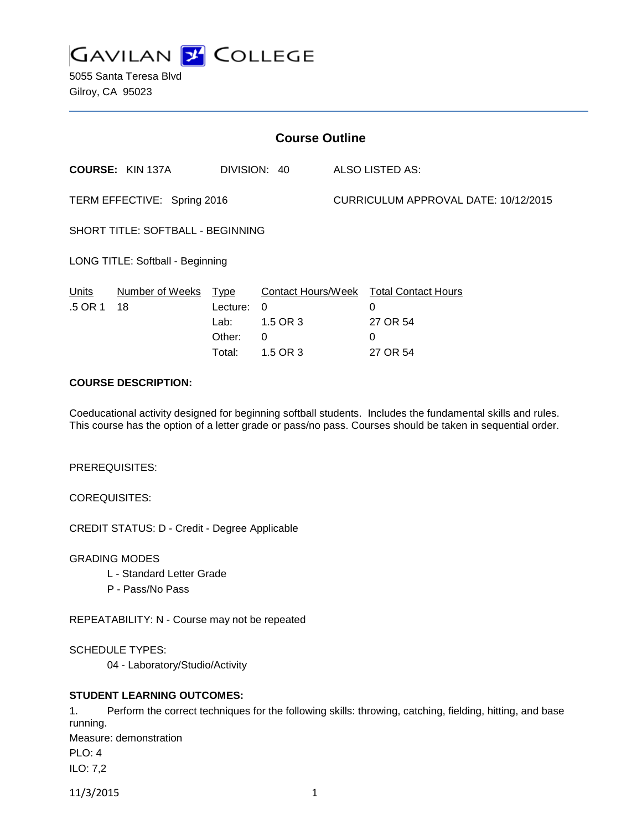

5055 Santa Teresa Blvd Gilroy, CA 95023

| <b>Course Outline</b>             |                         |                                              |                                                             |                                      |                                                              |
|-----------------------------------|-------------------------|----------------------------------------------|-------------------------------------------------------------|--------------------------------------|--------------------------------------------------------------|
|                                   | <b>COURSE: KIN 137A</b> |                                              | DIVISION: 40                                                |                                      | ALSO LISTED AS:                                              |
| TERM EFFECTIVE: Spring 2016       |                         |                                              |                                                             | CURRICULUM APPROVAL DATE: 10/12/2015 |                                                              |
| SHORT TITLE: SOFTBALL - BEGINNING |                         |                                              |                                                             |                                      |                                                              |
| LONG TITLE: Softball - Beginning  |                         |                                              |                                                             |                                      |                                                              |
| Units<br>.5 OR 1                  | Number of Weeks<br>18   | Type<br>Lecture:<br>Lab:<br>Other:<br>Total: | Contact Hours/Week<br>0<br>1.5 OR 3<br>$\Omega$<br>1.5 OR 3 |                                      | <b>Total Contact Hours</b><br>0<br>27 OR 54<br>0<br>27 OR 54 |

## **COURSE DESCRIPTION:**

Coeducational activity designed for beginning softball students. Includes the fundamental skills and rules. This course has the option of a letter grade or pass/no pass. Courses should be taken in sequential order.

PREREQUISITES:

COREQUISITES:

CREDIT STATUS: D - Credit - Degree Applicable

GRADING MODES

- L Standard Letter Grade
- P Pass/No Pass

REPEATABILITY: N - Course may not be repeated

SCHEDULE TYPES:

04 - Laboratory/Studio/Activity

## **STUDENT LEARNING OUTCOMES:**

1. Perform the correct techniques for the following skills: throwing, catching, fielding, hitting, and base running. Measure: demonstration PLO: 4 ILO: 7,2

11/3/2015 1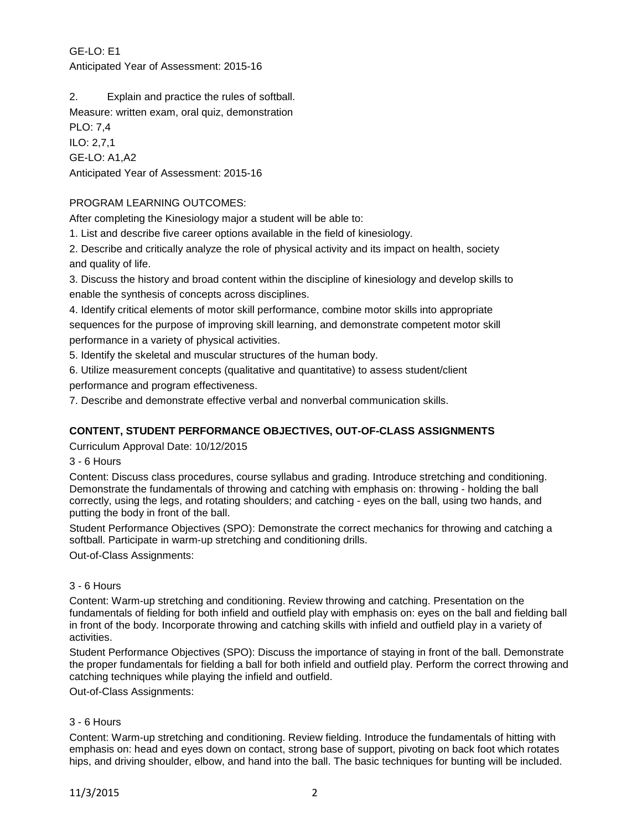GE-LO: E1 Anticipated Year of Assessment: 2015-16

2. Explain and practice the rules of softball.

Measure: written exam, oral quiz, demonstration

PLO: 7,4 ILO: 2,7,1 GE-LO: A1,A2 Anticipated Year of Assessment: 2015-16

# PROGRAM LEARNING OUTCOMES:

After completing the Kinesiology major a student will be able to:

1. List and describe five career options available in the field of kinesiology.

2. Describe and critically analyze the role of physical activity and its impact on health, society and quality of life.

3. Discuss the history and broad content within the discipline of kinesiology and develop skills to enable the synthesis of concepts across disciplines.

4. Identify critical elements of motor skill performance, combine motor skills into appropriate sequences for the purpose of improving skill learning, and demonstrate competent motor skill performance in a variety of physical activities.

5. Identify the skeletal and muscular structures of the human body.

6. Utilize measurement concepts (qualitative and quantitative) to assess student/client performance and program effectiveness.

7. Describe and demonstrate effective verbal and nonverbal communication skills.

# **CONTENT, STUDENT PERFORMANCE OBJECTIVES, OUT-OF-CLASS ASSIGNMENTS**

Curriculum Approval Date: 10/12/2015

3 - 6 Hours

Content: Discuss class procedures, course syllabus and grading. Introduce stretching and conditioning. Demonstrate the fundamentals of throwing and catching with emphasis on: throwing - holding the ball correctly, using the legs, and rotating shoulders; and catching - eyes on the ball, using two hands, and putting the body in front of the ball.

Student Performance Objectives (SPO): Demonstrate the correct mechanics for throwing and catching a softball. Participate in warm-up stretching and conditioning drills.

Out-of-Class Assignments:

## 3 - 6 Hours

Content: Warm-up stretching and conditioning. Review throwing and catching. Presentation on the fundamentals of fielding for both infield and outfield play with emphasis on: eyes on the ball and fielding ball in front of the body. Incorporate throwing and catching skills with infield and outfield play in a variety of activities.

Student Performance Objectives (SPO): Discuss the importance of staying in front of the ball. Demonstrate the proper fundamentals for fielding a ball for both infield and outfield play. Perform the correct throwing and catching techniques while playing the infield and outfield.

Out-of-Class Assignments:

## 3 - 6 Hours

Content: Warm-up stretching and conditioning. Review fielding. Introduce the fundamentals of hitting with emphasis on: head and eyes down on contact, strong base of support, pivoting on back foot which rotates hips, and driving shoulder, elbow, and hand into the ball. The basic techniques for bunting will be included.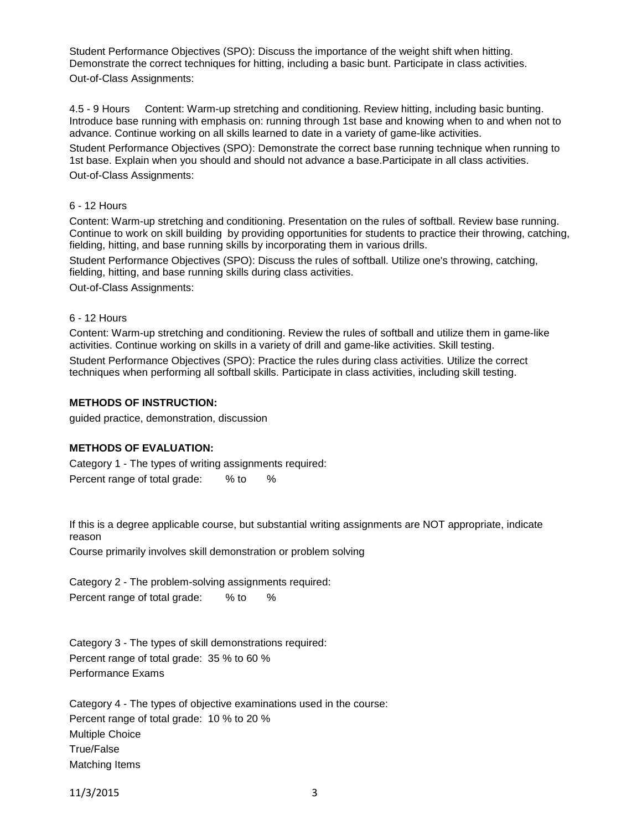Student Performance Objectives (SPO): Discuss the importance of the weight shift when hitting. Demonstrate the correct techniques for hitting, including a basic bunt. Participate in class activities. Out-of-Class Assignments:

4.5 - 9 Hours Content: Warm-up stretching and conditioning. Review hitting, including basic bunting. Introduce base running with emphasis on: running through 1st base and knowing when to and when not to advance. Continue working on all skills learned to date in a variety of game-like activities.

Student Performance Objectives (SPO): Demonstrate the correct base running technique when running to 1st base. Explain when you should and should not advance a base.Participate in all class activities. Out-of-Class Assignments:

#### 6 - 12 Hours

Content: Warm-up stretching and conditioning. Presentation on the rules of softball. Review base running. Continue to work on skill building by providing opportunities for students to practice their throwing, catching, fielding, hitting, and base running skills by incorporating them in various drills.

Student Performance Objectives (SPO): Discuss the rules of softball. Utilize one's throwing, catching, fielding, hitting, and base running skills during class activities.

Out-of-Class Assignments:

#### 6 - 12 Hours

Content: Warm-up stretching and conditioning. Review the rules of softball and utilize them in game-like activities. Continue working on skills in a variety of drill and game-like activities. Skill testing. Student Performance Objectives (SPO): Practice the rules during class activities. Utilize the correct techniques when performing all softball skills. Participate in class activities, including skill testing.

#### **METHODS OF INSTRUCTION:**

guided practice, demonstration, discussion

## **METHODS OF EVALUATION:**

Category 1 - The types of writing assignments required: Percent range of total grade: % to %

If this is a degree applicable course, but substantial writing assignments are NOT appropriate, indicate reason

Course primarily involves skill demonstration or problem solving

Category 2 - The problem-solving assignments required: Percent range of total grade: % to %

Category 3 - The types of skill demonstrations required: Percent range of total grade: 35 % to 60 % Performance Exams

Category 4 - The types of objective examinations used in the course: Percent range of total grade: 10 % to 20 % Multiple Choice True/False Matching Items

11/3/2015 3